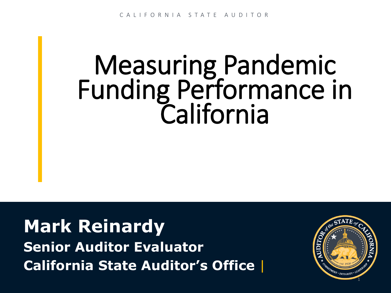# Measuring Pandemic Funding Performance in California

**Mark Reinardy Senior Auditor Evaluator California State Auditor's Office** |

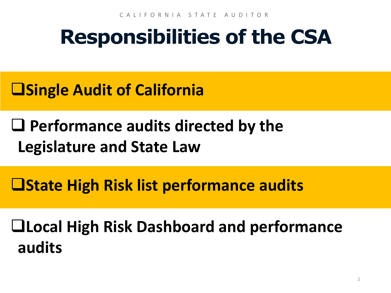## **Responsibilities of the CSA**

- **Single Audit of California**
- **Performance audits directed by the Legislature and State Law**
- **State High Risk list performance audits**

**Local High Risk Dashboard and performance audits**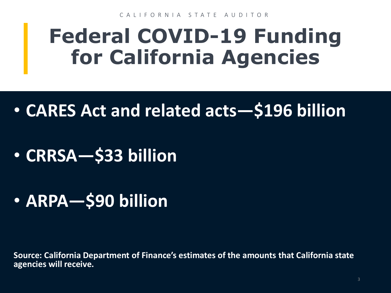CALIFORNIA STATE AUDITOR

## **Federal COVID-19 Funding for California Agencies**

- **CARES Act and related acts—\$196 billion**
- **CRRSA—\$33 billion**
- **ARPA—\$90 billion**

**Source: California Department of Finance's estimates of the amounts that California state agencies will receive.**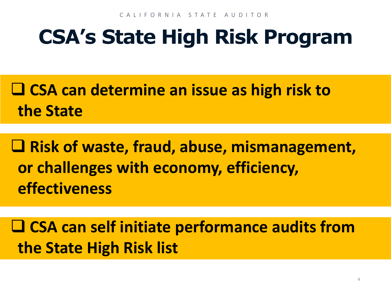## **CSA's State High Risk Program**

 **CSA can determine an issue as high risk to the State**

 **Risk of waste, fraud, abuse, mismanagement, or challenges with economy, efficiency, effectiveness**

 **CSA can self initiate performance audits from the State High Risk list**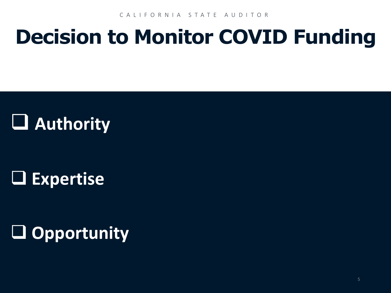CALIFORNIA STATE AUDITOR

## **Decision to Monitor COVID Funding**

### **Authority**

### **Expertise**

### **Opportunity**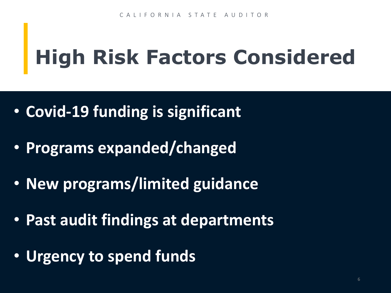## **High Risk Factors Considered**

- **Covid-19 funding is significant**
- **Programs expanded/changed**
- **New programs/limited guidance**
- **Past audit findings at departments**
- **Urgency to spend funds**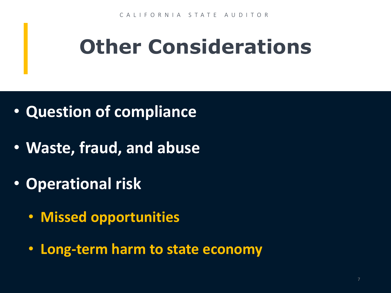# **Other Considerations**

- **Question of compliance**
- **Waste, fraud, and abuse**
- **Operational risk**
	- **Missed opportunities**
	- **Long-term harm to state economy**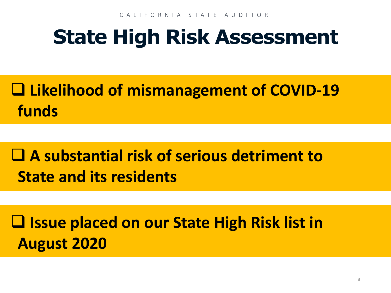## **State High Risk Assessment**

### **Likelihood of mismanagement of COVID-19 funds**

### **A substantial risk of serious detriment to State and its residents**

**Issue placed on our State High Risk list in August 2020**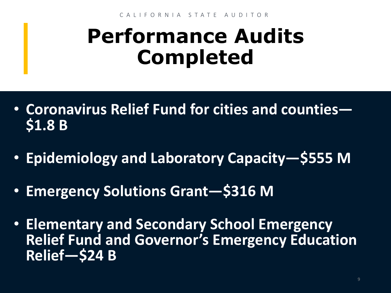## **Performance Audits Completed**

- **Coronavirus Relief Fund for cities and counties— \$1.8 B**
- **Epidemiology and Laboratory Capacity—\$555 M**
- **Emergency Solutions Grant—\$316 M**
- **Elementary and Secondary School Emergency Relief Fund and Governor's Emergency Education Relief—\$24 B**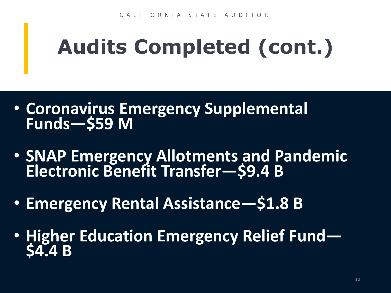# **Audits Completed (cont.)**

- **Coronavirus Emergency Supplemental Funds—\$59 M**
- **SNAP Emergency Allotments and Pandemic Electronic Benefit Transfer—\$9.4 B**
- **Emergency Rental Assistance—\$1.8 B**
- **Higher Education Emergency Relief Fund— \$4.4 B**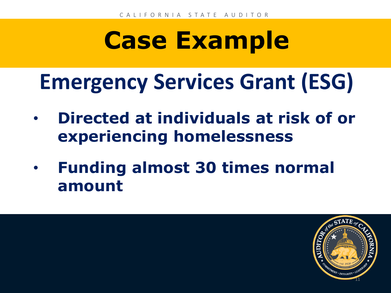## **Emergency Services Grant (ESG)**

- **Directed at individuals at risk of or experiencing homelessness**
- **Funding almost 30 times normal amount**

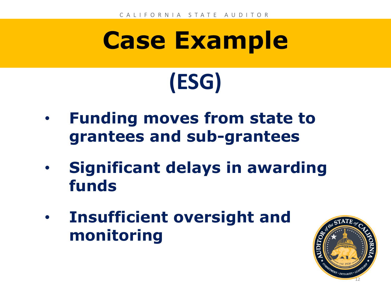# **Case Example (ESG)**

- **Funding moves from state to grantees and sub-grantees**
- **Significant delays in awarding funds**
- **Insufficient oversight and monitoring**

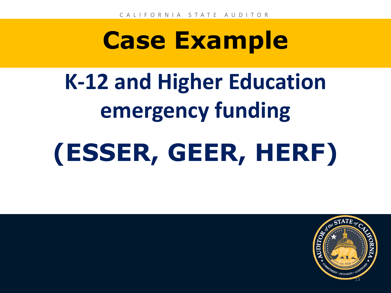# **K-12 and Higher Education emergency funding**

# **(ESSER, GEER, HERF)**

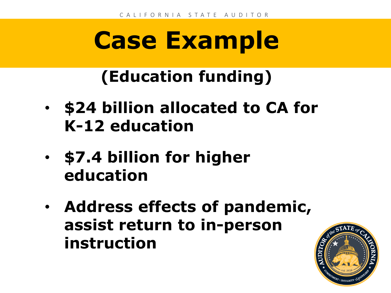### **(Education funding)**

- **\$24 billion allocated to CA for K-12 education**
- **\$7.4 billion for higher education**
- **Address effects of pandemic, assist return to in-person instruction**

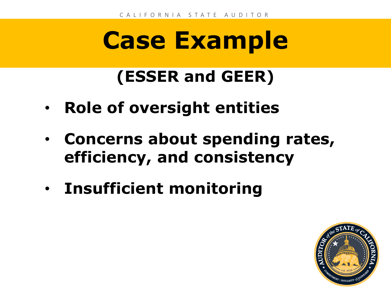### **(ESSER and GEER)**

- **Role of oversight entities**
- **Concerns about spending rates, efficiency, and consistency**
- **Insufficient monitoring**

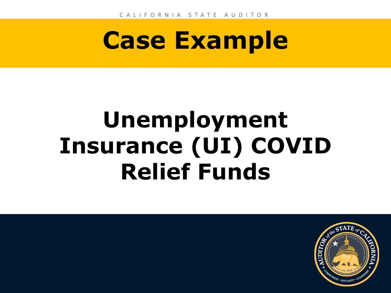# **Unemployment Insurance (UI) COVID Relief Funds**

**Mike Tilden**

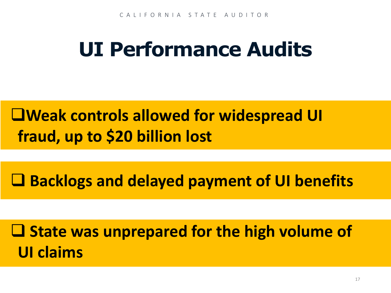## **UI Performance Audits**

#### **Weak controls allowed for widespread UI fraud, up to \$20 billion lost**

**Backlogs and delayed payment of UI benefits**

 $\Box$  **State was unprepared for the high volume of UI claims**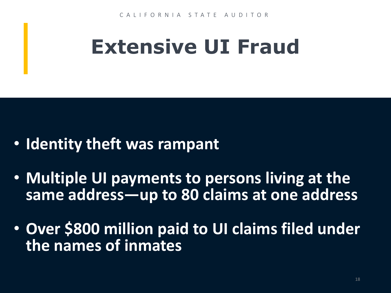## **Extensive UI Fraud**

- **Identity theft was rampant**
- **Multiple UI payments to persons living at the same address—up to 80 claims at one address**
- **Over \$800 million paid to UI claims filed under the names of inmates**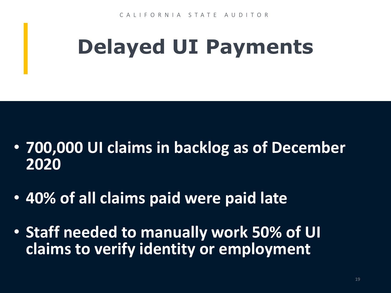# **Delayed UI Payments**

- **700,000 UI claims in backlog as of December 2020**
- **40% of all claims paid were paid late**
- **Staff needed to manually work 50% of UI claims to verify identity or employment**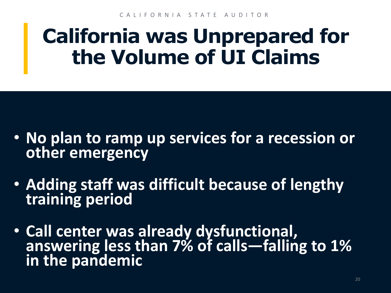### **California was Unprepared for the Volume of UI Claims**

- **No plan to ramp up services for a recession or other emergency**
- **Adding staff was difficult because of lengthy training period**
- **Call center was already dysfunctional, answering less than 7% of calls—falling to 1% in the pandemic**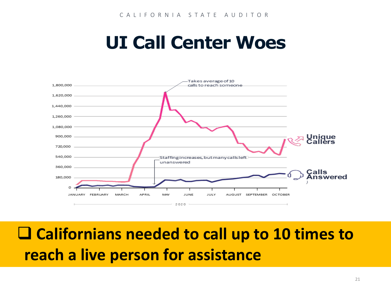### **UI Call Center Woes**



#### **Californians needed to call up to 10 times to reach a live person for assistance**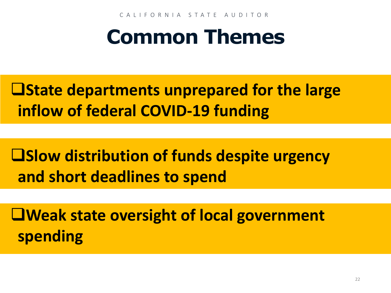CALIFORNIA STATE AUDITOR

## **Common Themes**

**Latate departments unprepared for the large inflow of federal COVID-19 funding**

**Slow distribution of funds despite urgency and short deadlines to spend**

**Weak state oversight of local government spending**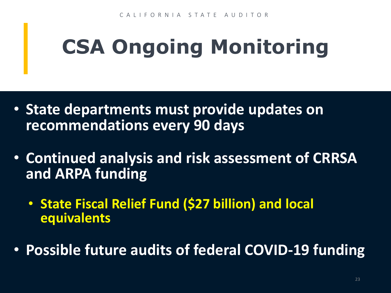# **CSA Ongoing Monitoring**

- **State departments must provide updates on recommendations every 90 days**
- **Continued analysis and risk assessment of CRRSA and ARPA funding**
	- **State Fiscal Relief Fund (\$27 billion) and local equivalents**
- **Possible future audits of federal COVID-19 funding**